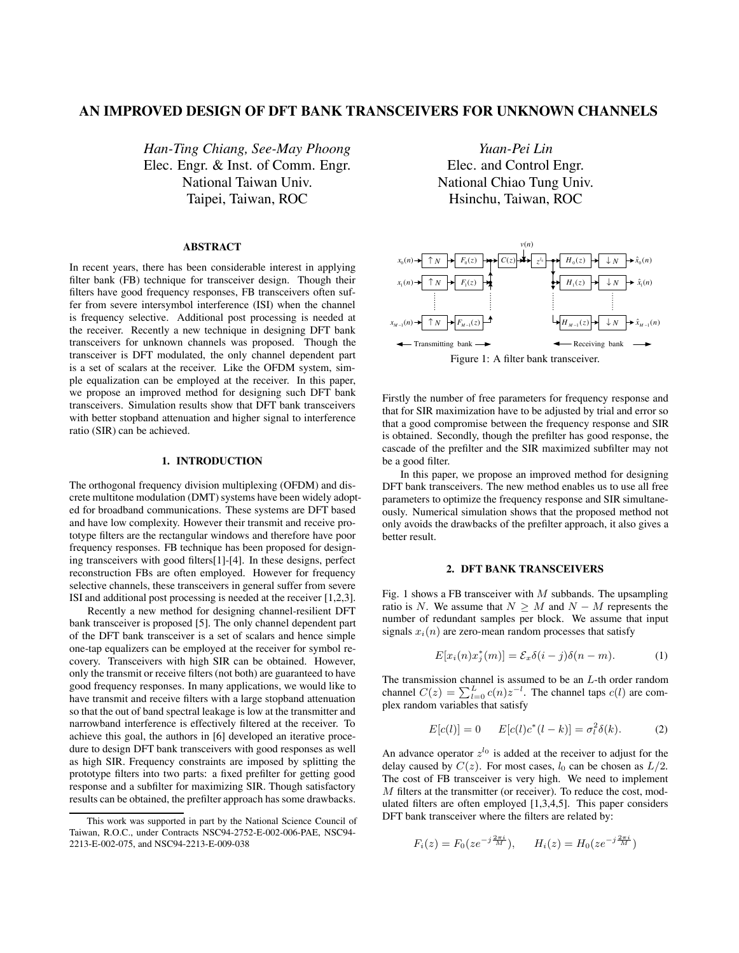# **AN IMPROVED DESIGN OF DFT BANK TRANSCEIVERS FOR UNKNOWN CHANNELS**

*Han-Ting Chiang, See-May Phoong* Elec. Engr. & Inst. of Comm. Engr. National Taiwan Univ. Taipei, Taiwan, ROC

#### **ABSTRACT**

In recent years, there has been considerable interest in applying filter bank (FB) technique for transceiver design. Though their filters have good frequency responses, FB transceivers often suffer from severe intersymbol interference (ISI) when the channel is frequency selective. Additional post processing is needed at the receiver. Recently a new technique in designing DFT bank transceivers for unknown channels was proposed. Though the transceiver is DFT modulated, the only channel dependent part is a set of scalars at the receiver. Like the OFDM system, simple equalization can be employed at the receiver. In this paper, we propose an improved method for designing such DFT bank transceivers. Simulation results show that DFT bank transceivers with better stopband attenuation and higher signal to interference ratio (SIR) can be achieved.

#### **1. INTRODUCTION**

The orthogonal frequency division multiplexing (OFDM) and discrete multitone modulation (DMT) systems have been widely adopted for broadband communications. These systems are DFT based and have low complexity. However their transmit and receive prototype filters are the rectangular windows and therefore have poor frequency responses. FB technique has been proposed for designing transceivers with good filters[1]-[4]. In these designs, perfect reconstruction FBs are often employed. However for frequency selective channels, these transceivers in general suffer from severe ISI and additional post processing is needed at the receiver [1,2,3].

Recently a new method for designing channel-resilient DFT bank transceiver is proposed [5]. The only channel dependent part of the DFT bank transceiver is a set of scalars and hence simple one-tap equalizers can be employed at the receiver for symbol recovery. Transceivers with high SIR can be obtained. However, only the transmit or receive filters (not both) are guaranteed to have good frequency responses. In many applications, we would like to have transmit and receive filters with a large stopband attenuation so that the out of band spectral leakage is low at the transmitter and narrowband interference is effectively filtered at the receiver. To achieve this goal, the authors in [6] developed an iterative procedure to design DFT bank transceivers with good responses as well as high SIR. Frequency constraints are imposed by splitting the prototype filters into two parts: a fixed prefilter for getting good response and a subfilter for maximizing SIR. Though satisfactory results can be obtained, the prefilter approach has some drawbacks.

*Yuan-Pei Lin* Elec. and Control Engr. National Chiao Tung Univ. Hsinchu, Taiwan, ROC



Firstly the number of free parameters for frequency response and that for SIR maximization have to be adjusted by trial and error so that a good compromise between the frequency response and SIR is obtained. Secondly, though the prefilter has good response, the cascade of the prefilter and the SIR maximized subfilter may not be a good filter.

In this paper, we propose an improved method for designing DFT bank transceivers. The new method enables us to use all free parameters to optimize the frequency response and SIR simultaneously. Numerical simulation shows that the proposed method not only avoids the drawbacks of the prefilter approach, it also gives a better result.

### **2. DFT BANK TRANSCEIVERS**

Fig. 1 shows a FB transceiver with  $M$  subbands. The upsampling ratio is N. We assume that  $N > M$  and  $N - M$  represents the number of redundant samples per block. We assume that input signals  $x_i(n)$  are zero-mean random processes that satisfy

$$
E[x_i(n)x_j^*(m)] = \mathcal{E}_x \delta(i-j)\delta(n-m). \tag{1}
$$

The transmission channel is assumed to be an  $L$ -th order random channel  $C(z) = \sum_{l=0}^{L} c(n)z^{-l}$ . The channel taps  $c(l)$  are com-<br>plex random variables that satisfy plex random variables that satisfy

$$
E[c(l)] = 0 \qquad E[c(l)c^*(l-k)] = \sigma_l^2 \delta(k). \tag{2}
$$

An advance operator  $z^{l_0}$  is added at the receiver to adjust for the delay caused by  $C(z)$ . For most cases,  $l_0$  can be chosen as  $L/2$ . The cost of FB transceiver is very high. We need to implement M filters at the transmitter (or receiver). To reduce the cost, modulated filters are often employed [1,3,4,5]. This paper considers DFT bank transceiver where the filters are related by:

$$
F_i(z) = F_0(ze^{-j\frac{2\pi i}{M}}), \qquad H_i(z) = H_0(ze^{-j\frac{2\pi i}{M}})
$$

This work was supported in part by the National Science Council of Taiwan, R.O.C., under Contracts NSC94-2752-E-002-006-PAE, NSC94- 2213-E-002-075, and NSC94-2213-E-009-038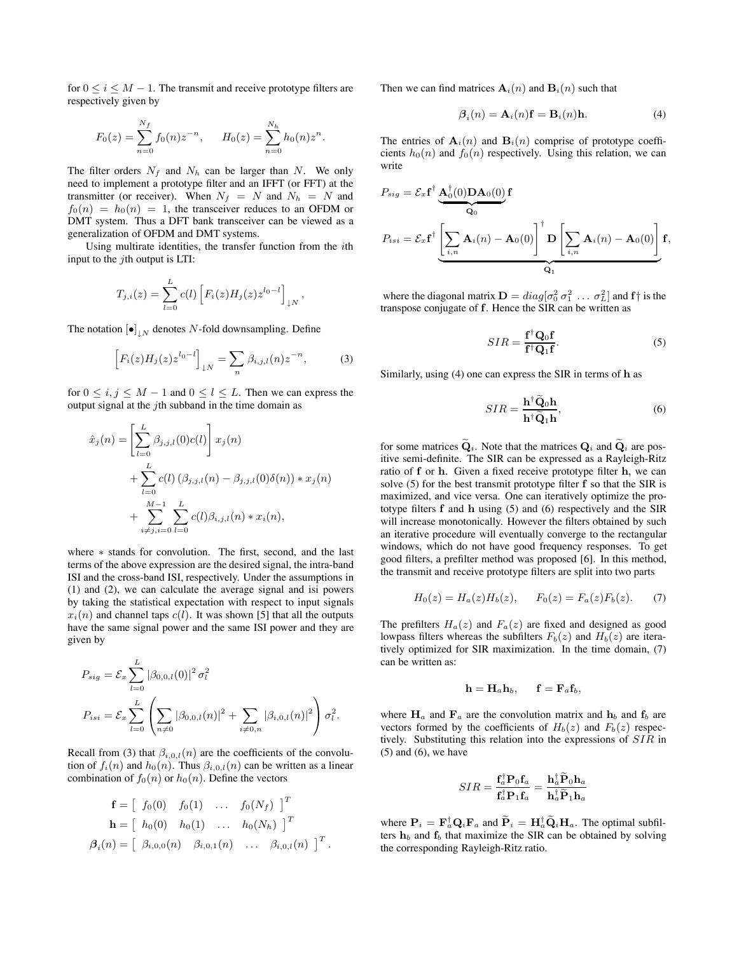for  $0 \le i \le M - 1$ . The transmit and receive prototype filters are respectively given by

$$
F_0(z) = \sum_{n=0}^{N_f} f_0(n) z^{-n}, \qquad H_0(z) = \sum_{n=0}^{N_h} h_0(n) z^n.
$$

The filter orders  $N_f$  and  $N_h$  can be larger than N. We only need to implement a prototype filter and an IFFT (or FFT) at the transmitter (or receiver). When  $N_f = N$  and  $N_h = N$  and  $f_0(n) = h_0(n) = 1$ , the transceiver reduces to an OFDM or DMT system. Thus a DFT bank transceiver can be viewed as a generalization of OFDM and DMT systems.

Using multirate identities, the transfer function from the ith input to the  $i$ th output is LTI:

$$
T_{j,i}(z) = \sum_{l=0}^{L} c(l) \left[ F_i(z) H_j(z) z^{l_0-l} \right]_{\downarrow N},
$$

The notation  $[\bullet]_{\downarrow N}$  denotes N-fold downsampling. Define

$$
\left[F_i(z)H_j(z)z^{l_0-l}\right]_{\downarrow N} = \sum_n \beta_{i,j,l}(n)z^{-n},\tag{3}
$$

for  $0 \le i, j \le M - 1$  and  $0 \le l \le L$ . Then we can express the output signal at the  $j$ th subband in the time domain as

$$
\hat{x}_j(n) = \left[ \sum_{l=0}^L \beta_{j,j,l}(0) c(l) \right] x_j(n) \n+ \sum_{l=0}^L c(l) (\beta_{j,j,l}(n) - \beta_{j,j,l}(0) \delta(n)) * x_j(n) \n+ \sum_{i \neq j,i=0}^{M-1} \sum_{l=0}^L c(l) \beta_{i,j,l}(n) * x_i(n),
$$

where ∗ stands for convolution. The first, second, and the last terms of the above expression are the desired signal, the intra-band ISI and the cross-band ISI, respectively. Under the assumptions in (1) and (2), we can calculate the average signal and isi powers by taking the statistical expectation with respect to input signals  $x_i(n)$  and channel taps  $c(l)$ . It was shown [5] that all the outputs have the same signal power and the same ISI power and they are given by

$$
P_{sig} = \mathcal{E}_x \sum_{l=0}^{L} |\beta_{0,0,l}(0)|^2 \sigma_l^2
$$
  

$$
P_{isi} = \mathcal{E}_x \sum_{l=0}^{L} \left( \sum_{n \neq 0} |\beta_{0,0,l}(n)|^2 + \sum_{i \neq 0, n} |\beta_{i,0,l}(n)|^2 \right) \sigma_l^2.
$$

Recall from (3) that  $\beta_{i,0,l}(n)$  are the coefficients of the convolution of  $f_i(n)$  and  $h_0(n)$ . Thus  $\beta_{i,0,l}(n)$  can be written as a linear combination of  $f_0(n)$  or  $h_0(n)$ . Define the vectors

$$
\mathbf{f} = \begin{bmatrix} f_0(0) & f_0(1) & \dots & f_0(N_f) \end{bmatrix}^T \n\mathbf{h} = \begin{bmatrix} h_0(0) & h_0(1) & \dots & h_0(N_h) \end{bmatrix}^T \n\beta_i(n) = \begin{bmatrix} \beta_{i,0,0}(n) & \beta_{i,0,1}(n) & \dots & \beta_{i,0,l}(n) \end{bmatrix}^T.
$$

Then we can find matrices  $A_i(n)$  and  $B_i(n)$  such that

$$
\beta_i(n) = \mathbf{A}_i(n)\mathbf{f} = \mathbf{B}_i(n)\mathbf{h}.\tag{4}
$$

The entries of  $A_i(n)$  and  $B_i(n)$  comprise of prototype coefficients  $h_0(n)$  and  $f_0(n)$  respectively. Using this relation, we can write

$$
P_{sig} = \mathcal{E}_x \mathbf{f}^\dagger \underbrace{\mathbf{A}_0^\dagger(0) \mathbf{D} \mathbf{A}_0(0)}_{\mathbf{Q}_0} \mathbf{f}
$$
  

$$
P_{isi} = \mathcal{E}_x \mathbf{f}^\dagger \underbrace{\left[\sum_{i,n} \mathbf{A}_i(n) - \mathbf{A}_0(0)\right]^\dagger}_{\mathbf{Q}_1} \mathbf{D} \underbrace{\left[\sum_{i,n} \mathbf{A}_i(n) - \mathbf{A}_0(0)\right]}_{\mathbf{Q}_1} \mathbf{f},
$$

where the diagonal matrix  $\mathbf{D} = diag[\sigma_0^2 \sigma_1^2 \dots \sigma_L^2]$  and **f**  $\dagger$  is the ranspose conjugate of **f**. Hence the SIR can be written as transpose conjugate of **f**. Hence the SIR can be written as

$$
SIR = \frac{\mathbf{f}^\dagger \mathbf{Q}_0 \mathbf{f}}{\mathbf{f}^\dagger \mathbf{Q}_1 \mathbf{f}}.\tag{5}
$$

Similarly, using (4) one can express the SIR in terms of **h** as

$$
SIR = \frac{\mathbf{h}^\dagger \hat{\mathbf{Q}}_0 \mathbf{h}}{\mathbf{h}^\dagger \tilde{\mathbf{Q}}_1 \mathbf{h}},\tag{6}
$$

for some matrices  $\widetilde{\mathbf{Q}}_i$ . Note that the matrices  $\mathbf{Q}_i$  and  $\widetilde{\mathbf{Q}}_i$  are positive semi-definite. The SIR can be expressed as a Rayleigh-Ritz ratio of **f** or **h**. Given a fixed receive prototype filter **h**, we can solve (5) for the best transmit prototype filter **f** so that the SIR is maximized, and vice versa. One can iteratively optimize the prototype filters **f** and **h** using (5) and (6) respectively and the SIR will increase monotonically. However the filters obtained by such an iterative procedure will eventually converge to the rectangular windows, which do not have good frequency responses. To get good filters, a prefilter method was proposed [6]. In this method, the transmit and receive prototype filters are split into two parts

$$
H_0(z) = H_a(z)H_b(z), \qquad F_0(z) = F_a(z)F_b(z). \tag{7}
$$

The prefilters  $H_a(z)$  and  $F_a(z)$  are fixed and designed as good lowpass filters whereas the subfilters  $F_b(z)$  and  $H_b(z)$  are iteratively optimized for SIR maximization. In the time domain, (7) can be written as:

$$
\mathbf{h} = \mathbf{H}_a \mathbf{h}_b, \quad \mathbf{f} = \mathbf{F}_a \mathbf{f}_b,
$$

where  $H_a$  and  $F_a$  are the convolution matrix and  $h_b$  and  $f_b$  are vectors formed by the coefficients of  $H_b(z)$  and  $F_b(z)$  respectively. Substituting this relation into the expressions of SIR in  $(5)$  and  $(6)$ , we have

$$
SIR = \frac{\mathbf{f}_a^{\dagger} \mathbf{P}_0 \mathbf{f}_a}{\mathbf{f}_a^{\dagger} \mathbf{P}_1 \mathbf{f}_a} = \frac{\mathbf{h}_a^{\dagger} \widetilde{\mathbf{P}}_0 \mathbf{h}_a}{\mathbf{h}_a^{\dagger} \widetilde{\mathbf{P}}_1 \mathbf{h}_a}
$$

where  $\mathbf{P}_i = \mathbf{F}_a^{\dagger} \mathbf{Q}_i \mathbf{F}_a$  and  $\mathbf{P}_i = \mathbf{H}_a^{\dagger} \mathbf{Q}_i \mathbf{H}_a$ . The optimal subfilters **b**<sub>r</sub> and **f**<sub>i</sub> that maximize the SIR can be obtained by solving ters  $h_b$  and  $f_b$  that maximize the SIR can be obtained by solving the corresponding Rayleigh-Ritz ratio.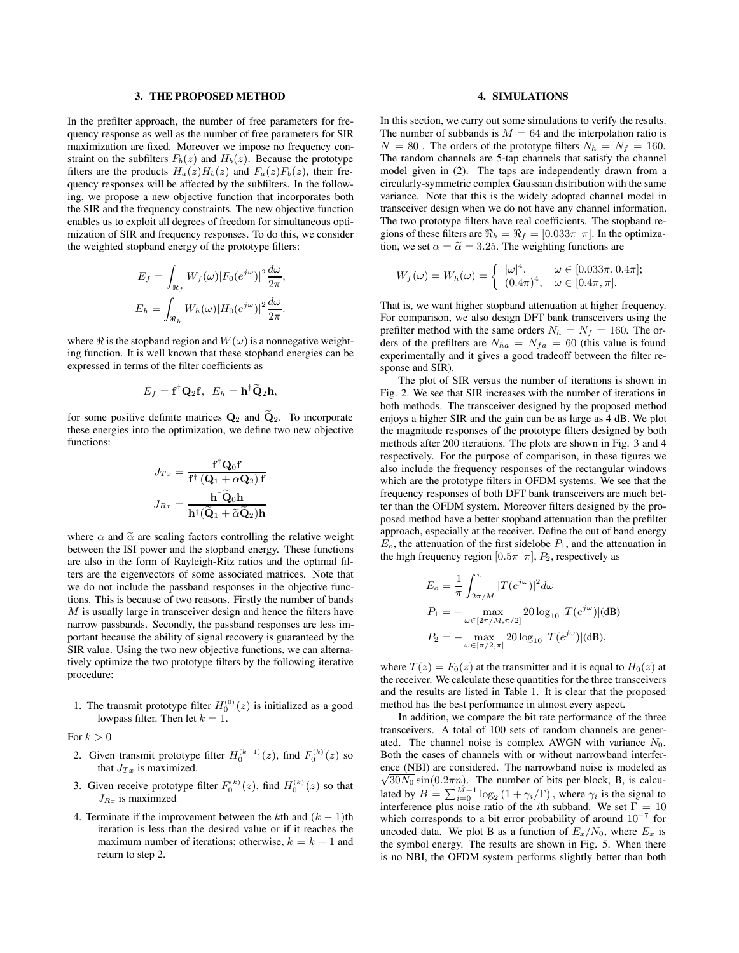## **3. THE PROPOSED METHOD**

In the prefilter approach, the number of free parameters for frequency response as well as the number of free parameters for SIR maximization are fixed. Moreover we impose no frequency constraint on the subfilters  $F_b(z)$  and  $H_b(z)$ . Because the prototype filters are the products  $H_a(z)H_b(z)$  and  $F_a(z)F_b(z)$ , their frequency responses will be affected by the subfilters. In the following, we propose a new objective function that incorporates both the SIR and the frequency constraints. The new objective function enables us to exploit all degrees of freedom for simultaneous optimization of SIR and frequency responses. To do this, we consider the weighted stopband energy of the prototype filters:

$$
E_f = \int_{\Re_f} W_f(\omega) |F_0(e^{j\omega})|^2 \frac{d\omega}{2\pi},
$$
  

$$
E_h = \int_{\Re_h} W_h(\omega) |H_0(e^{j\omega})|^2 \frac{d\omega}{2\pi}.
$$

where  $\Re$  is the stopband region and  $W(\omega)$  is a nonnegative weighting function. It is well known that these stopband energies can be expressed in terms of the filter coefficients as

$$
E_f = \mathbf{f}^\dagger \mathbf{Q}_2 \mathbf{f}, \ \ E_h = \mathbf{h}^\dagger \widetilde{\mathbf{Q}}_2 \mathbf{h},
$$

for some positive definite matrices  $\mathbf{Q}_2$  and  $\mathbf{Q}_2$ . To incorporate these energies into the optimization, we define two new objective functions:

$$
J_{Tx} = \frac{\mathbf{f}^\dagger \mathbf{Q}_0 \mathbf{f}}{\mathbf{f}^\dagger (\mathbf{Q}_1 + \alpha \mathbf{Q}_2) \mathbf{f}}
$$

$$
J_{Rx} = \frac{\mathbf{h}^\dagger \tilde{\mathbf{Q}}_0 \mathbf{h}}{\mathbf{h}^\dagger (\tilde{\mathbf{Q}}_1 + \tilde{\alpha} \tilde{\mathbf{Q}}_2) \mathbf{h}}
$$

where  $\alpha$  and  $\tilde{\alpha}$  are scaling factors controlling the relative weight between the ISI power and the stopband energy. These functions are also in the form of Rayleigh-Ritz ratios and the optimal filters are the eigenvectors of some associated matrices. Note that we do not include the passband responses in the objective functions. This is because of two reasons. Firstly the number of bands M is usually large in transceiver design and hence the filters have narrow passbands. Secondly, the passband responses are less important because the ability of signal recovery is guaranteed by the SIR value. Using the two new objective functions, we can alternatively optimize the two prototype filters by the following iterative procedure:

1. The transmit prototype filter  $H_0^{(0)}(z)$  is initialized as a good lownses filter. Then let  $k-1$ lowpass filter. Then let  $k = 1$ .

For  $k > 0$ 

- 2. Given transmit prototype filter  $H_0^{(k-1)}(z)$ , find  $F_0^{(k)}(z)$  so that  $I_{\text{c}}$  is maximized that  $J_{Tx}$  is maximized.
- 3. Given receive prototype filter  $F_0^{(k)}(z)$ , find  $H_0^{(k)}(z)$  so that  $J_{Rx}$  is maximized
- 4. Terminate if the improvement between the kth and  $(k 1)$ th iteration is less than the desired value or if it reaches the maximum number of iterations; otherwise,  $k = k + 1$  and return to step 2.

# **4. SIMULATIONS**

In this section, we carry out some simulations to verify the results. The number of subbands is  $M = 64$  and the interpolation ratio is  $N = 80$ . The orders of the prototype filters  $N_h = N_f = 160$ . The random channels are 5-tap channels that satisfy the channel model given in (2). The taps are independently drawn from a circularly-symmetric complex Gaussian distribution with the same variance. Note that this is the widely adopted channel model in transceiver design when we do not have any channel information. The two prototype filters have real coefficients. The stopband regions of these filters are  $\Re_h = \Re_f = [0.033\pi \pi]$ . In the optimization, we set  $\alpha = \tilde{\alpha} = 3.25$ . The weighting functions are

$$
W_f(\omega) = W_h(\omega) = \begin{cases} |\omega|^4, & \omega \in [0.033\pi, 0.4\pi]; \\ (0.4\pi)^4, & \omega \in [0.4\pi, \pi]. \end{cases}
$$

That is, we want higher stopband attenuation at higher frequency. For comparison, we also design DFT bank transceivers using the prefilter method with the same orders  $N_h = N_f = 160$ . The orders of the prefilters are  $N_{ha} = N_{fa} = 60$  (this value is found experimentally and it gives a good tradeoff between the filter response and SIR).

The plot of SIR versus the number of iterations is shown in Fig. 2. We see that SIR increases with the number of iterations in both methods. The transceiver designed by the proposed method enjoys a higher SIR and the gain can be as large as 4 dB. We plot the magnitude responses of the prototype filters designed by both methods after 200 iterations. The plots are shown in Fig. 3 and 4 respectively. For the purpose of comparison, in these figures we also include the frequency responses of the rectangular windows which are the prototype filters in OFDM systems. We see that the frequency responses of both DFT bank transceivers are much better than the OFDM system. Moreover filters designed by the proposed method have a better stopband attenuation than the prefilter approach, especially at the receiver. Define the out of band energy  $E<sub>o</sub>$ , the attenuation of the first sidelobe  $P<sub>1</sub>$ , and the attenuation in the high frequency region  $[0.5\pi \pi]$ ,  $P_2$ , respectively as

$$
E_o = \frac{1}{\pi} \int_{2\pi/M}^{\pi} |T(e^{j\omega})|^2 d\omega
$$
  
\n
$$
P_1 = - \max_{\omega \in [2\pi/M, \pi/2]} 20 \log_{10} |T(e^{j\omega})| (dB)
$$
  
\n
$$
P_2 = - \max_{\omega \in [\pi/2, \pi]} 20 \log_{10} |T(e^{j\omega})| (dB),
$$

where  $T(z) = F_0(z)$  at the transmitter and it is equal to  $H_0(z)$  at the receiver. We calculate these quantities for the three transceivers and the results are listed in Table 1. It is clear that the proposed method has the best performance in almost every aspect.

In addition, we compare the bit rate performance of the three transceivers. A total of 100 sets of random channels are generated. The channel noise is complex AWGN with variance  $N_0$ . Both the cases of channels with or without narrowband interference (NBI) are considered. The narrowband noise is modeled as  $\sqrt{30N_0}$  sin(0.2 $\pi n$ ). The number of bits per block, B, is calcu- $\frac{30N_0 \sin(0.2\pi n)}{30N_0 \sin(0.2\pi n)}$ . The number of bits per block, B, is calculated by  $B = \sum_{i=0}^{M-1} \log_2 (1 + \gamma_i/\Gamma)$ , where  $\gamma_i$  is the signal to interference plus poise ratio of the *i*th subband. We set  $\Gamma = 10$ interference plus noise ratio of the *i*th subband. We set  $\Gamma = 10$ which corresponds to a bit error probability of around 10<sup>−</sup><sup>7</sup> for uncoded data. We plot B as a function of  $E_x/N_0$ , where  $E_x$  is the symbol energy. The results are shown in Fig. 5. When there is no NBI, the OFDM system performs slightly better than both